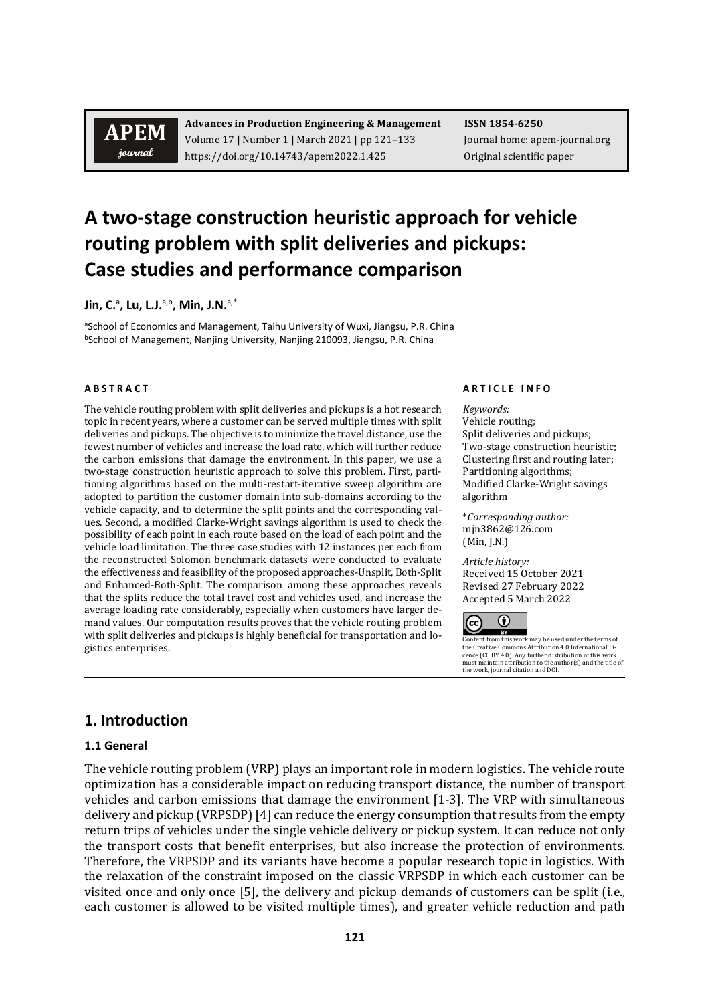# **APEM** journal

**Advances in Production Engineering & Management ISSN 1854-6250** Volume 17 | Number 1 | March 2021 | pp 121-133 Journal home: apem-journal.org https://doi.org/10.14743/apem2022.1.425 Original scientific paper

# **A two-stage construction heuristic approach for vehicle routing problem with split deliveries and pickups: Case studies and performance comparison**

Jin, C.ª, Lu, L.J.ª<sup>,b</sup>, Min, J.N.<sup>a,\*</sup>

aSchool of Economics and Management, Taihu University of Wuxi, Jiangsu, P.R. China bSchool of Management, Nanjing University, Nanjing 210093, Jiangsu, P.R. China

The vehicle routing problem with split deliveries and pickups is a hot research topic in recent years, where a customer can be served multiple times with split deliveries and pickups. The objective is to minimize the travel distance, use the fewest number of vehicles and increase the load rate, which will further reduce the carbon emissions that damage the environment. In this paper, we use a two-stage construction heuristic approach to solve this problem. First, partitioning algorithms based on the multi-restart-iterative sweep algorithm are adopted to partition the customer domain into sub-domains according to the vehicle capacity, and to determine the split points and the corresponding values. Second, a modified Clarke-Wright savings algorithm is used to check the possibility of each point in each route based on the load of each point and the vehicle load limitation. The three case studies with 12 instances per each from the reconstructed Solomon benchmark datasets were conducted to evaluate the effectiveness and feasibility of the proposed approaches-Unsplit, Both-Split and Enhanced-Both-Split. The comparison among these approaches reveals that the splits reduce the total travel cost and vehicles used, and increase the average loading rate considerably, especially when customers have larger demand values. Our computation results proves that the vehicle routing problem with split deliveries and pickups is highly beneficial for transportation and logistics enterprises.

#### **A B S T R A C T A R T I C L E I N F O**

*Keywords:* Vehicle routing; Split deliveries and pickups; Two-stage construction heuristic; Clustering first and routing later; Partitioning algorithms; Modified Clarke-Wright savings algorithm

\**Corresponding author:*  mjn3862@126.com (Min, J.N.)

*Article history:*  Received 15 October 2021 Revised 27 February 2022 Accepted 5 March 2022



Content from this work may be used under the terms of<br>the Creative Commons Attribution 4.0 International Lithe Creative Commons Attribution 4.0 International Li-cence (CC BY 4.0). Any further distribution of this work must maintain attribution to the author(s) and the title of the work, journal citation and DOI.

# **1. Introduction**

#### **1.1 General**

The vehicle routing problem (VRP) plays an important role in modern logistics. The vehicle route optimization has a considerable impact on reducing transport distance, the number of transport vehicles and carbon emissions that damage the environment [1-3]. The VRP with simultaneous delivery and pickup (VRPSDP) [4] can reduce the energy consumption that results from the empty return trips of vehicles under the single vehicle delivery or pickup system. It can reduce not only the transport costs that benefit enterprises, but also increase the protection of environments. Therefore, the VRPSDP and its variants have become a popular research topic in logistics. With the relaxation of the constraint imposed on the classic VRPSDP in which each customer can be visited once and only once [5], the delivery and pickup demands of customers can be split (i.e., each customer is allowed to be visited multiple times), and greater vehicle reduction and path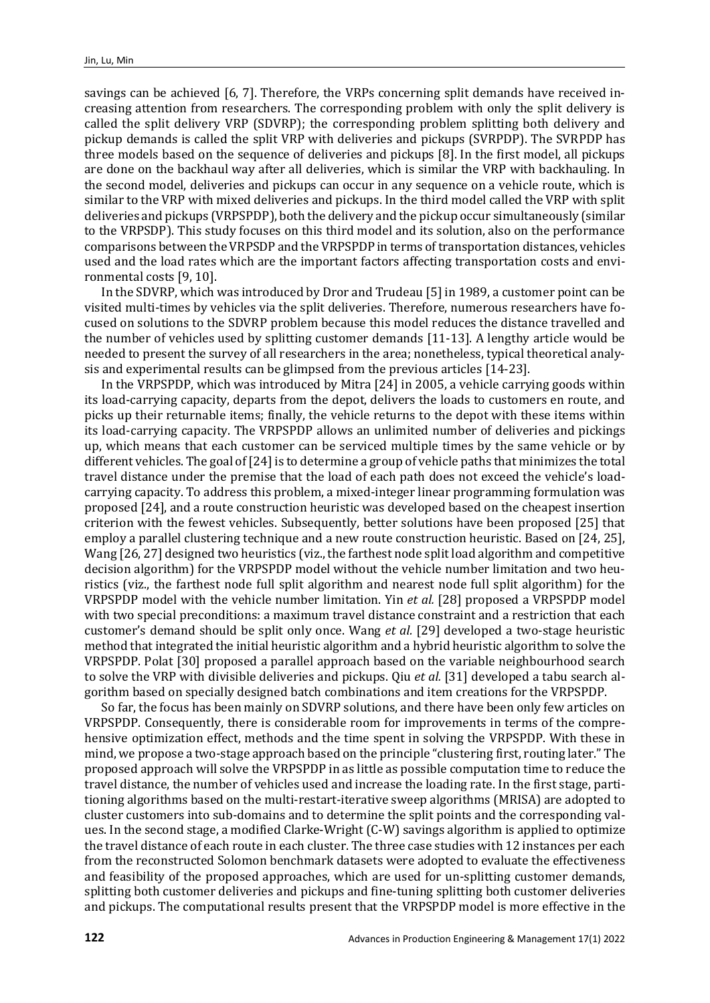savings can be achieved [6, 7]. Therefore, the VRPs concerning split demands have received increasing attention from researchers. The corresponding problem with only the split delivery is called the split delivery VRP (SDVRP); the corresponding problem splitting both delivery and pickup demands is called the split VRP with deliveries and pickups (SVRPDP). The SVRPDP has three models based on the sequence of deliveries and pickups [8]. In the first model, all pickups are done on the backhaul way after all deliveries, which is similar the VRP with backhauling. In the second model, deliveries and pickups can occur in any sequence on a vehicle route, which is similar to the VRP with mixed deliveries and pickups. In the third model called the VRP with split deliveries and pickups (VRPSPDP), both the delivery and the pickup occur simultaneously (similar to the VRPSDP). This study focuses on this third model and its solution, also on the performance comparisons between the VRPSDP and the VRPSPDP in terms of transportation distances, vehicles used and the load rates which are the important factors affecting transportation costs and environmental costs [9, 10].

In the SDVRP, which was introduced by Dror and Trudeau [5] in 1989, a customer point can be visited multi-times by vehicles via the split deliveries. Therefore, numerous researchers have focused on solutions to the SDVRP problem because this model reduces the distance travelled and the number of vehicles used by splitting customer demands [11-13]. A lengthy article would be needed to present the survey of all researchers in the area; nonetheless, typical theoretical analysis and experimental results can be glimpsed from the previous articles [14-23].

In the VRPSPDP, which was introduced by Mitra [24] in 2005, a vehicle carrying goods within its load-carrying capacity, departs from the depot, delivers the loads to customers en route, and picks up their returnable items; finally, the vehicle returns to the depot with these items within its load-carrying capacity. The VRPSPDP allows an unlimited number of deliveries and pickings up, which means that each customer can be serviced multiple times by the same vehicle or by different vehicles. The goal of [24] is to determine a group of vehicle paths that minimizes the total travel distance under the premise that the load of each path does not exceed the vehicle's loadcarrying capacity. To address this problem, a mixed-integer linear programming formulation was proposed [24], and a route construction heuristic was developed based on the cheapest insertion criterion with the fewest vehicles. Subsequently, better solutions have been proposed [25] that employ a parallel clustering technique and a new route construction heuristic. Based on [24, 25], Wang [26, 27] designed two heuristics (viz., the farthest node split load algorithm and competitive decision algorithm) for the VRPSPDP model without the vehicle number limitation and two heuristics (viz., the farthest node full split algorithm and nearest node full split algorithm) for the VRPSPDP model with the vehicle number limitation. Yin *et al.* [28] proposed a VRPSPDP model with two special preconditions: a maximum travel distance constraint and a restriction that each customer's demand should be split only once. Wang *et al.* [29] developed a two-stage heuristic method that integrated the initial heuristic algorithm and a hybrid heuristic algorithm to solve the VRPSPDP. Polat [30] proposed a parallel approach based on the variable neighbourhood search to solve the VRP with divisible deliveries and pickups. Qiu *et al.* [31] developed a tabu search algorithm based on specially designed batch combinations and item creations for the VRPSPDP.

So far, the focus has been mainly on SDVRP solutions, and there have been only few articles on VRPSPDP. Consequently, there is considerable room for improvements in terms of the comprehensive optimization effect, methods and the time spent in solving the VRPSPDP. With these in mind, we propose a two-stage approach based on the principle "clustering first, routing later." The proposed approach will solve the VRPSPDP in as little as possible computation time to reduce the travel distance, the number of vehicles used and increase the loading rate. In the first stage, partitioning algorithms based on the multi-restart-iterative sweep algorithms (MRISA) are adopted to cluster customers into sub-domains and to determine the split points and the corresponding values. In the second stage, a modified Clarke-Wright (C-W) savings algorithm is applied to optimize the travel distance of each route in each cluster. The three case studies with 12 instances per each from the reconstructed Solomon benchmark datasets were adopted to evaluate the effectiveness and feasibility of the proposed approaches, which are used for un-splitting customer demands, splitting both customer deliveries and pickups and fine-tuning splitting both customer deliveries and pickups. The computational results present that the VRPSPDP model is more effective in the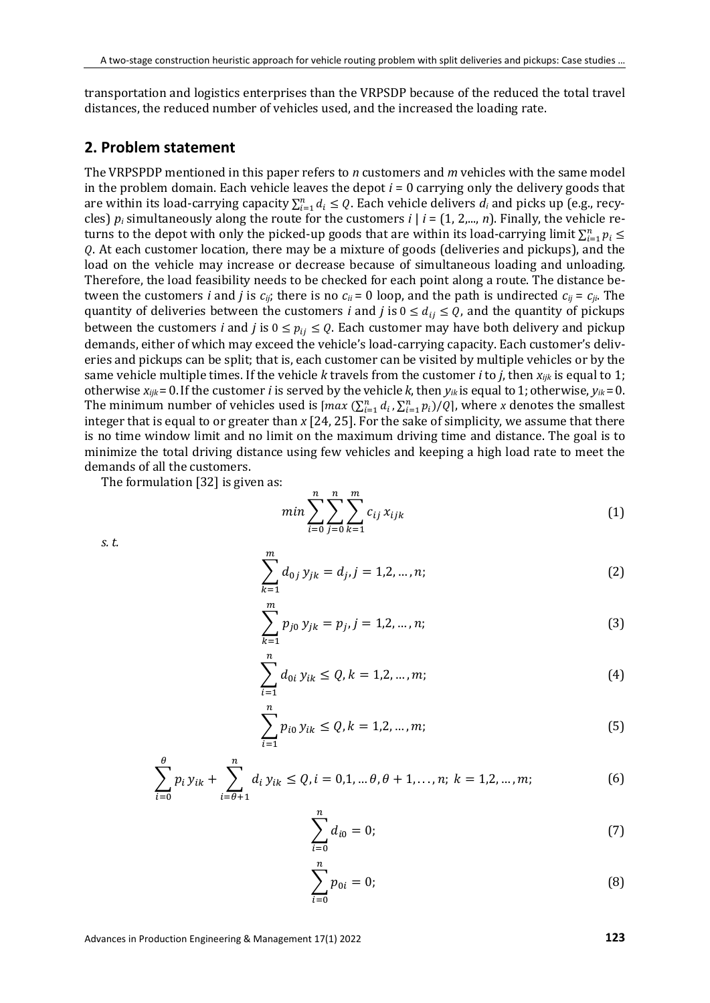transportation and logistics enterprises than the VRPSDP because of the reduced the total travel distances, the reduced number of vehicles used, and the increased the loading rate.

#### **2. Problem statement**

The VRPSPDP mentioned in this paper refers to *n* customers and *m* vehicles with the same model in the problem domain. Each vehicle leaves the depot *i* = 0 carrying only the delivery goods that are within its load-carrying capacity  $\sum_{i=1}^{n} d_i \leq Q$ . Each vehicle delivers  $d_i$  and picks up (e.g., recycles)  $p_i$  simultaneously along the route for the customers  $i \mid i = (1, 2,..., n)$ . Finally, the vehicle returns to the depot with only the picked-up goods that are within its load-carrying limit  $\sum_{i=1}^n p_i \leq$ . At each customer location, there may be a mixture of goods (deliveries and pickups), and the load on the vehicle may increase or decrease because of simultaneous loading and unloading. Therefore, the load feasibility needs to be checked for each point along a route. The distance between the customers *i* and *j* is  $c_{ij}$ ; there is no  $c_{ii}$  = 0 loop, and the path is undirected  $c_{ij}$  =  $c_{ji}$ . The quantity of deliveries between the customers *i* and *j* is  $0 \le d_{ij} \le Q$ , and the quantity of pickups between the customers *i* and *j* is  $0 \le p_{ij} \le Q$ . Each customer may have both delivery and pickup demands, either of which may exceed the vehicle's load-carrying capacity. Each customer's deliveries and pickups can be split; that is, each customer can be visited by multiple vehicles or by the same vehicle multiple times. If the vehicle *k* travels from the customer *i* to *j*, then *xijk* is equal to 1; otherwise  $x_{ijk}$  = 0. If the customer *i* is served by the vehicle *k*, then  $y_{ik}$  is equal to 1; otherwise,  $y_{ik}$  = 0. The minimum number of vehicles used is  $\left[\max(\sum_{i=1}^{n} d_i, \sum_{i=1}^{n} p_i)/Q\right]$ , where *x* denotes the smallest integer that is equal to or greater than *x* [24, 25]. For the sake of simplicity, we assume that there is no time window limit and no limit on the maximum driving time and distance. The goal is to minimize the total driving distance using few vehicles and keeping a high load rate to meet the demands of all the customers.

The formulation [32] is given as:

$$
min \sum_{i=0}^{n} \sum_{j=0}^{n} \sum_{k=1}^{m} c_{ij} x_{ijk}
$$
 (1)

*s. t.*

$$
\sum_{k=1}^{m} d_{0j} y_{jk} = d_j, j = 1, 2, ..., n;
$$
 (2)

$$
\sum_{k=1}^{m} p_{j0} y_{jk} = p_j, j = 1, 2, ..., n;
$$
 (3)

$$
\sum_{i=1}^{n} d_{0i} y_{ik} \le Q, k = 1, 2, ..., m;
$$
 (4)

$$
\sum_{i=1}^{n} p_{i0} y_{ik} \le Q, k = 1, 2, ..., m;
$$
 (5)

$$
\sum_{i=0}^{\theta} p_i y_{ik} + \sum_{i=\theta+1}^{n} d_i y_{ik} \le Q, i = 0, 1, \dots, \theta, \theta+1, \dots, n; k = 1, 2, \dots, m; \tag{6}
$$

$$
\sum_{i=0}^{n} d_{i0} = 0; \tag{7}
$$

$$
\sum_{i=0}^{n} p_{0i} = 0;
$$
 (8)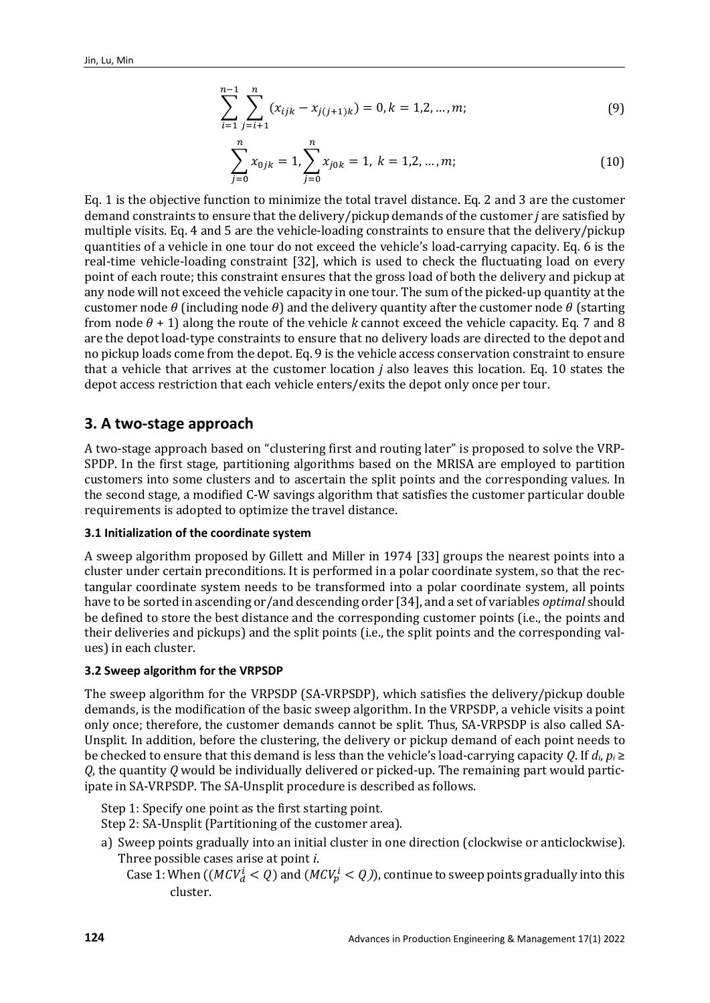$$
\sum_{i=1}^{n-1} \sum_{j=i+1}^{n} (x_{ijk} - x_{j(j+1)k}) = 0, k = 1, 2, ..., m;
$$
 (9)

$$
\sum_{j=0}^{n} x_{0jk} = 1, \sum_{j=0}^{n} x_{j0k} = 1, k = 1, 2, ..., m;
$$
 (10)

Eq. 1 is the objective function to minimize the total travel distance. Eq. 2 and 3 are the customer demand constraints to ensure that the delivery/pickup demands of the customer *j* are satisfied by multiple visits. Eq. 4 and 5 are the vehicle-loading constraints to ensure that the delivery/pickup quantities of a vehicle in one tour do not exceed the vehicle's load-carrying capacity. Eq. 6 is the real-time vehicle-loading constraint [32], which is used to check the fluctuating load on every point of each route; this constraint ensures that the gross load of both the delivery and pickup at any node will not exceed the vehicle capacity in one tour. The sum of the picked-up quantity at the customer node  $\theta$  (including node  $\theta$ ) and the delivery quantity after the customer node  $\theta$  (starting from node  $\theta$  + 1) along the route of the vehicle *k* cannot exceed the vehicle capacity. Eq. 7 and 8 are the depot load-type constraints to ensure that no delivery loads are directed to the depot and no pickup loads come from the depot. Eq. 9 is the vehicle access conservation constraint to ensure that a vehicle that arrives at the customer location *j* also leaves this location. Eq. 10 states the depot access restriction that each vehicle enters/exits the depot only once per tour.

### **3. A two-stage approach**

A two-stage approach based on "clustering first and routing later" is proposed to solve the VRP-SPDP. In the first stage, partitioning algorithms based on the MRISA are employed to partition customers into some clusters and to ascertain the split points and the corresponding values. In the second stage, a modified C-W savings algorithm that satisfies the customer particular double requirements is adopted to optimize the travel distance.

#### **3.1 Initialization of the coordinate system**

A sweep algorithm proposed by Gillett and Miller in 1974 [33] groups the nearest points into a cluster under certain preconditions. It is performed in a polar coordinate system, so that the rectangular coordinate system needs to be transformed into a polar coordinate system, all points have to be sorted in ascending or/and descending order [34], and a set of variables *optimal* should be defined to store the best distance and the corresponding customer points (i.e., the points and their deliveries and pickups) and the split points (i.e., the split points and the corresponding values) in each cluster.

#### **3.2 Sweep algorithm for the VRPSDP**

The sweep algorithm for the VRPSDP (SA-VRPSDP), which satisfies the delivery/pickup double demands, is the modification of the basic sweep algorithm. In the VRPSDP, a vehicle visits a point only once; therefore, the customer demands cannot be split. Thus, SA-VRPSDP is also called SA-Unsplit. In addition, before the clustering, the delivery or pickup demand of each point needs to be checked to ensure that this demand is less than the vehicle's load-carrying capacity *Q*. If *di*, *pi* ≥ *Q*, the quantity *Q* would be individually delivered or picked-up. The remaining part would participate in SA-VRPSDP. The SA-Unsplit procedure is described as follows.

Step 1: Specify one point as the first starting point. Step 2: SA-Unsplit (Partitioning of the customer area).

- a) Sweep points gradually into an initial cluster in one direction (clockwise or anticlockwise). Three possible cases arise at point *i*.
	- Case 1: When  $((MCV_d^l < Q)$  and  $(MCV_p^l < Q))$ , continue to sweep points gradually into this cluster.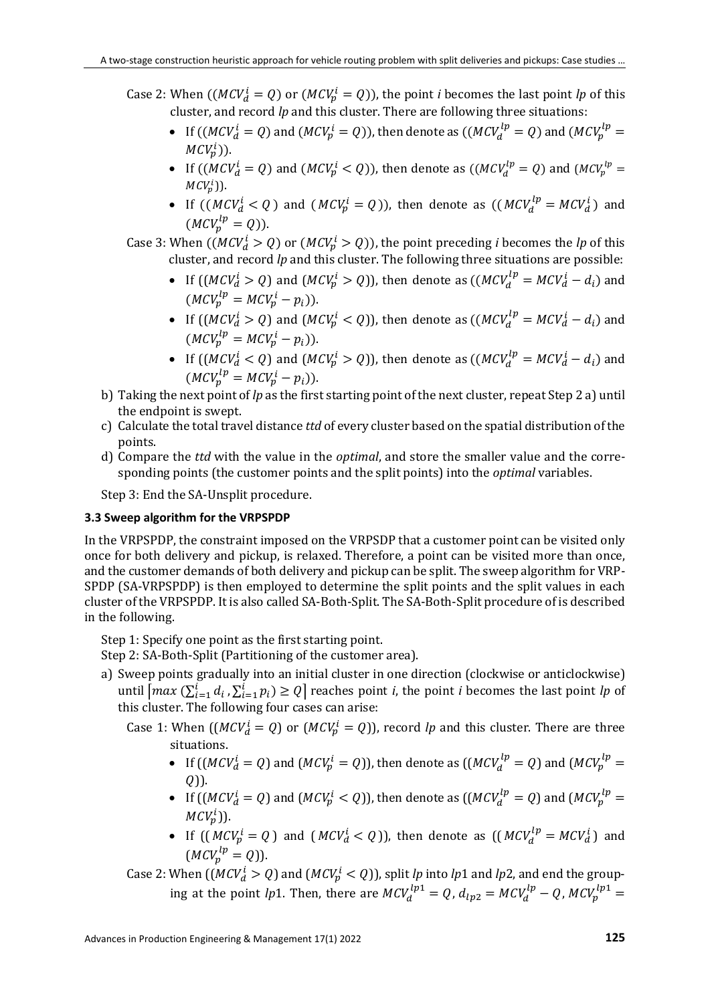- Case 2: When  $((MCV_d^i = Q)$  or  $(MCV_p^i = Q))$ , the point *i* becomes the last point *lp* of this cluster, and record *lp* and this cluster. There are following three situations:
	- If  $((MCV_d^i = Q)$  and  $(MCV_p^i = Q)$ ), then denote as  $((MCV_d^{lp} = Q)$  and  $(MCV_p^{lp} = Q)$  $MCV_p^i$ )).
	- If  $((MCV_d^i = Q)$  and  $(MCV_p^i < Q)$ ), then denote as  $((MCV_d^{lp} = Q)$  and  $(MCV_p^{lp} = Q)$  $MCV_p^{\iota})$ ). ļ
	- If  $((MCV_d^i < Q)$  and  $(MCV_p^i = Q)$ ), then denote as  $((MCV_d^{lp} = MCV_d^i)$  and  $(MCV_p^{lp} = Q)).$
- Case 3: When  $((MCV_d^i > Q)$  or  $(MCV_p^i > Q)$ ), the point preceding *i* becomes the *lp* of this cluster, and record *lp* and this cluster. The following three situations are possible:
	- If  $((MCV_d^i > Q)$  and  $(MCV_p^i > Q)$ ), then denote as  $((MCV_d^{ip} = MCV_d^i d_i)$  and  $(MCV_p^{lp} = MCV_p^i - p_i)).$
	- If  $((MCV_d^i > Q)$  and  $(MCV_p^i < Q)$ ), then denote as  $((MCV_d^{ip} = MCV_d^i d_i)$  and  $(MCV_p^{lp} = MCV_p^i - p_i)).$
	- If  $((MCV_d^i < Q)$  and  $(MCV_p^i > Q)$ ), then denote as  $((MCV_d^{ip} = MCV_d^i d_i)$  and  $(MCV_p^{lp} = MCV_p^i - p_i)).$
- b) Taking the next point of *lp* as the first starting point of the next cluster, repeat Step 2 a) until the endpoint is swept.
- c) Calculate the total travel distance *ttd* of every cluster based on the spatial distribution of the points.
- d) Compare the *ttd* with the value in the *optimal*, and store the smaller value and the corresponding points (the customer points and the split points) into the *optimal* variables.

Step 3: End the SA-Unsplit procedure.

### **3.3 Sweep algorithm for the VRPSPDP**

In the VRPSPDP, the constraint imposed on the VRPSDP that a customer point can be visited only once for both delivery and pickup, is relaxed. Therefore, a point can be visited more than once, and the customer demands of both delivery and pickup can be split. The sweep algorithm for VRP-SPDP (SA-VRPSPDP) is then employed to determine the split points and the split values in each cluster of the VRPSPDP. It is also called SA-Both-Split. The SA-Both-Split procedure of is described in the following.

Step 1: Specify one point as the first starting point.

Step 2: SA-Both-Split (Partitioning of the customer area).

- a) Sweep points gradually into an initial cluster in one direction (clockwise or anticlockwise) until  $\left| \max \left( \sum_{i=1}^{l} d_i, \sum_{i=1}^{l} p_i \right) \geq Q \right|$  reaches point *i*, the point *i* becomes the last point *lp* of this cluster. The following four cases can arise:
	- Case 1: When  $((MCV_d^i = Q)$  or  $(MCV_p^i = Q))$ , record *lp* and this cluster. There are three situations.
		- If (( $MCV_d^i = Q$ ) and ( $MCV_p^i = Q$ )), then denote as (( $MCV_d^{ip} = Q$ ) and ( $MCV_p^{ip} = Q$  $(Q)$ ).
		- If  $((MCV_d^i = Q)$  and  $(MCV_p^i < Q)$ ), then denote as  $((MCV_d^{lp} = Q)$  and  $(MCV_p^{lp} = Q)$  $MCV_p^l$ )).
		- If  $((MCV_p^i = Q)$  and  $(MCV_d^i < Q)$ ), then denote as  $((MCV_d^{ip} = MCV_d^i)$  and  $(MCV_p^{lp} = Q)).$
	- Case 2: When  $((MCV_d^l > Q)$  and  $(MCV_p^l < Q)$ ), split *lp* into *lp*1 and *lp*2, and end the grouping at the point *lp*1. Then, there are  $MCV_d^{lp1} = Q$ ,  $d_{lp2} = MCV_d^{lp} - Q$ ,  $MCV_p^{lp1} =$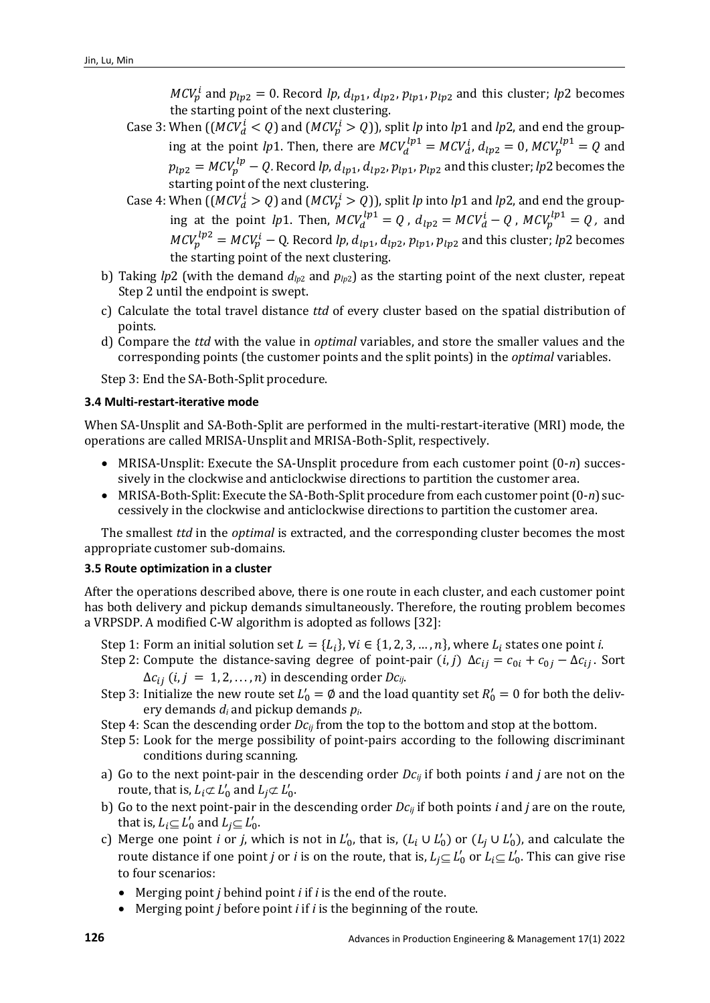$MCV_p^l$  and  $p_{lp2} = 0$ . Record *lp*,  $d_{lp1}$ ,  $d_{lp2}$ ,  $p_{lp1}$ ,  $p_{lp2}$  and this cluster; *lp*2 becomes the starting point of the next clustering.

- Case 3: When  $((MCV_d^l < Q)$  and  $(MCV_p^l > Q))$ , split *lp* into *lp*1 and *lp*2, and end the grouping at the point *lp*1. Then, there are  $MCV_d^{lp1} = MCV_d^i$ ,  $d_{lp2} = 0$ ,  $MCV_p^{lp1} = Q$  and  $p_{lp2} = MCV_p^{tp} - Q$ . Record *lp*,  $d_{lp1}$ ,  $d_{lp2}$ ,  $p_{lp1}$ ,  $p_{lp2}$  and this cluster; *lp*2 becomes the starting point of the next clustering.
- Case 4: When  $((MCV_d^i > Q)$  and  $(MCV_p^i > Q))$ , split *lp* into *lp*1 and *lp*2, and end the grouping at the point *lp*1. Then,  $MCV_d^{lp1} = Q$ ,  $d_{lp2} = MCV_d^i - Q$ ,  $MCV_p^{lp1} = Q$ , and  $MCV_p^{1p2} = MCV_p^i - Q$ . Record *lp*,  $d_{lp1}$ ,  $d_{lp2}$ ,  $p_{lp1}$ ,  $p_{lp2}$  and this cluster; *lp*2 becomes the starting point of the next clustering.
- b) Taking *lp*2 (with the demand  $d_{lp2}$  and  $p_{lp2}$ ) as the starting point of the next cluster, repeat Step 2 until the endpoint is swept.
- c) Calculate the total travel distance *ttd* of every cluster based on the spatial distribution of points*.*
- d) Compare the *ttd* with the value in *optimal* variables, and store the smaller values and the corresponding points (the customer points and the split points) in the *optimal* variables.

Step 3: End the SA-Both-Split procedure.

#### **3.4 Multi-restart-iterative mode**

When SA-Unsplit and SA-Both-Split are performed in the multi-restart-iterative (MRI) mode, the operations are called MRISA-Unsplit and MRISA-Both-Split, respectively.

- MRISA-Unsplit: Execute the SA-Unsplit procedure from each customer point (0-*n*) successively in the clockwise and anticlockwise directions to partition the customer area.
- MRISA-Both-Split: Execute the SA-Both-Split procedure from each customer point (0-*n*) successively in the clockwise and anticlockwise directions to partition the customer area.

The smallest *ttd* in the *optimal* is extracted, and the corresponding cluster becomes the most appropriate customer sub-domains.

#### **3.5 Route optimization in a cluster**

After the operations described above, there is one route in each cluster, and each customer point has both delivery and pickup demands simultaneously. Therefore, the routing problem becomes a VRPSDP. A modified C-W algorithm is adopted as follows [32]:

- Step 1: Form an initial solution set  $L = \{L_i\}$ ,  $\forall i \in \{1, 2, 3, ..., n\}$ , where  $L_i$  states one point *i*.
- Step 2: Compute the distance-saving degree of point-pair  $(i, j)$   $\Delta c_{ij} = c_{0i} + c_{0j} \Delta c_{ij}$ . Sort  $\Delta c_{ii}$  (*i*, *j* = 1, 2, ..., *n*) in descending order *Dc*<sub>ij</sub>.
- Step 3: Initialize the new route set  $L'_0 = \emptyset$  and the load quantity set  $R'_0 = 0$  for both the delivery demands *di* and pickup demands *pi*.
- Step 4: Scan the descending order  $Dc_{ij}$  from the top to the bottom and stop at the bottom.
- Step 5: Look for the merge possibility of point-pairs according to the following discriminant conditions during scanning.
- a) Go to the next point-pair in the descending order *Dcij* if both points *i* and *j* are not on the route, that is,  $L_i \not\subset L'_0$  and  $L_j \not\subset L'_0$ .
- b) Go to the next point-pair in the descending order  $Dc_{ii}$  if both points *i* and *j* are on the route, that is,  $L_i \subseteq L'_0$  and  $L_j \subseteq L'_0$ .
- c) Merge one point *i* or *j*, which is not in  $L'_0$ , that is,  $(L_i \cup L'_0)$  or  $(L_j \cup L'_0)$ , and calculate the route distance if one point *j* or *i* is on the route, that is,  $L_j {\subseteq L'_0}$  or  $L_i {\subseteq L'_0}$ . This can give rise to four scenarios:
	- Merging point *j* behind point *i* if *i* is the end of the route.
	- Merging point *j* before point *i* if *i* is the beginning of the route.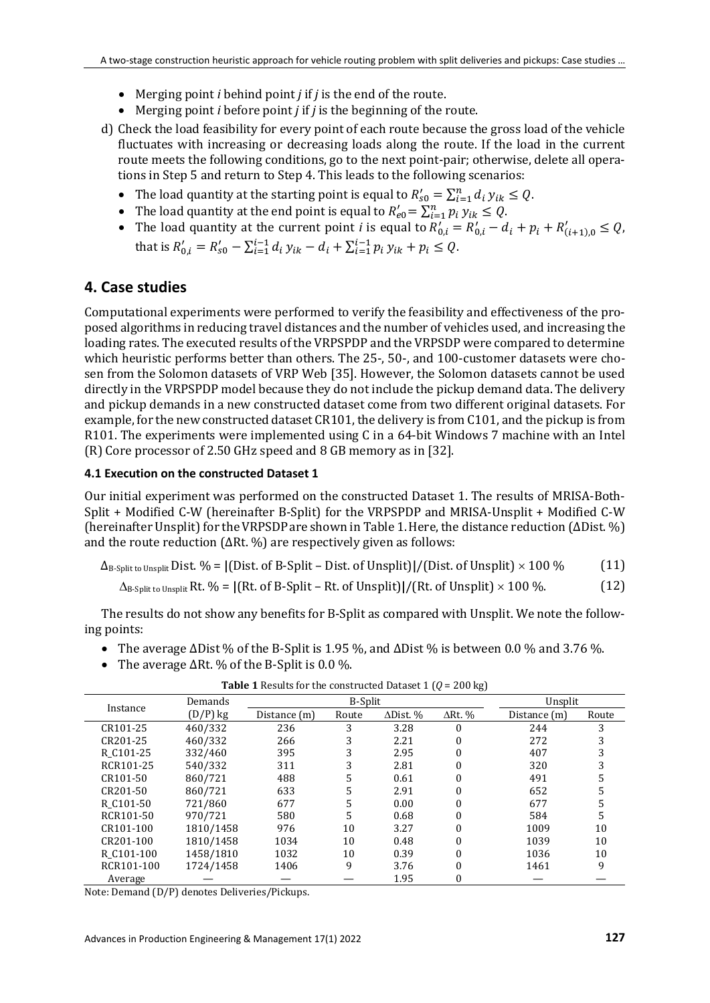- Merging point *i* behind point *j* if *j* is the end of the route.
- Merging point *i* before point *j* if *j* is the beginning of the route.
- d) Check the load feasibility for every point of each route because the gross load of the vehicle fluctuates with increasing or decreasing loads along the route. If the load in the current route meets the following conditions, go to the next point-pair; otherwise, delete all operations in Step 5 and return to Step 4. This leads to the following scenarios:
	- The load quantity at the starting point is equal to  $R'_{s0} = \sum_{i=1}^{n} d_i y_{ik} \le Q$ .
	- The load quantity at the end point is equal to  $R'_{e0} = \sum_{i=1}^{n} p_i y_{ik} \le Q$ .
	- The load quantity at the current point *i* is equal to  $R'_{0,i} = R'_{0,i} d_i + p_i + R'_{(i+1),0} \leq Q$ , that is  $R'_{0,i} = R'_{s0} - \sum_{i=1}^{i-1} d_i y_{ik} - d_i + \sum_{i=1}^{i-1} p_i y_{ik} + p_i \leq Q$ .

# **4. Case studies**

Computational experiments were performed to verify the feasibility and effectiveness of the proposed algorithms in reducing travel distances and the number of vehicles used, and increasing the loading rates. The executed results of the VRPSPDP and the VRPSDP were compared to determine which heuristic performs better than others. The 25-, 50-, and 100-customer datasets were chosen from the Solomon datasets of VRP Web [35]. However, the Solomon datasets cannot be used directly in the VRPSPDP model because they do not include the pickup demand data. The delivery and pickup demands in a new constructed dataset come from two different original datasets. For example, for the new constructed dataset CR101, the delivery is from C101, and the pickup is from R101. The experiments were implemented using C in a 64-bit Windows 7 machine with an Intel (R) Core processor of 2.50 GHz speed and 8 GB memory as in [32].

#### **4.1 Execution on the constructed Dataset 1**

Our initial experiment was performed on the constructed Dataset 1. The results of MRISA-Both-Split + Modified C-W (hereinafter B-Split) for the VRPSPDP and MRISA-Unsplit + Modified C-W (hereinafter Unsplit) for theVRPSDPare shown in Table 1.Here, the distance reduction (∆Dist. %) and the route reduction (∆Rt. %) are respectively given as follows:

| $\Delta_{\rm B\text{-}Split}$ to Unsplit Dist. % = [(Dist. of B-Split – Dist. of Unsplit)]/(Dist. of Unsplit) $\times$ 100 % | (11) |
|------------------------------------------------------------------------------------------------------------------------------|------|
|------------------------------------------------------------------------------------------------------------------------------|------|

```
∆B-Split to UnsplitRt. % = |(Rt. of B-Split – Rt. of Unsplit)|/(Rt. of Unsplit) × 100 %. (12)
```
The results do not show any benefits for B-Split as compared with Unsplit. We note the following points:

- The average  $\Delta$ Dist % of the B-Split is 1.95 %, and  $\Delta$ Dist % is between 0.0 % and 3.76 %.
- The average ∆Rt. % of the B-Split is 0.0 %.

|            | Demands    |              | <b>B-Split</b> |                  |                | Unsplit      |       |
|------------|------------|--------------|----------------|------------------|----------------|--------------|-------|
| Instance   | $(D/P)$ kg | Distance (m) | Route          | $\Delta$ Dist. % | $\Delta$ Rt. % | Distance (m) | Route |
| CR101-25   | 460/332    | 236          | 3              | 3.28             | 0              | 244          |       |
| CR201-25   | 460/332    | 266          | 3              | 2.21             |                | 272          |       |
| R C101-25  | 332/460    | 395          | 3              | 2.95             |                | 407          |       |
| RCR101-25  | 540/332    | 311          | 3              | 2.81             |                | 320          |       |
| CR101-50   | 860/721    | 488          | 5              | 0.61             |                | 491          |       |
| CR201-50   | 860/721    | 633          | 5              | 2.91             |                | 652          |       |
| R C101-50  | 721/860    | 677          | 5              | 0.00             |                | 677          |       |
| RCR101-50  | 970/721    | 580          | 5              | 0.68             |                | 584          |       |
| CR101-100  | 1810/1458  | 976          | 10             | 3.27             |                | 1009         | 10    |
| CR201-100  | 1810/1458  | 1034         | 10             | 0.48             |                | 1039         | 10    |
| R C101-100 | 1458/1810  | 1032         | 10             | 0.39             |                | 1036         | 10    |
| RCR101-100 | 1724/1458  | 1406         | 9              | 3.76             |                | 1461         | 9     |
| Average    |            |              |                | 1.95             | 0              |              |       |

**Table 1** Results for the constructed Dataset 1 (*Q* = 200 kg)

Note: Demand (D/P) denotes Deliveries/Pickups.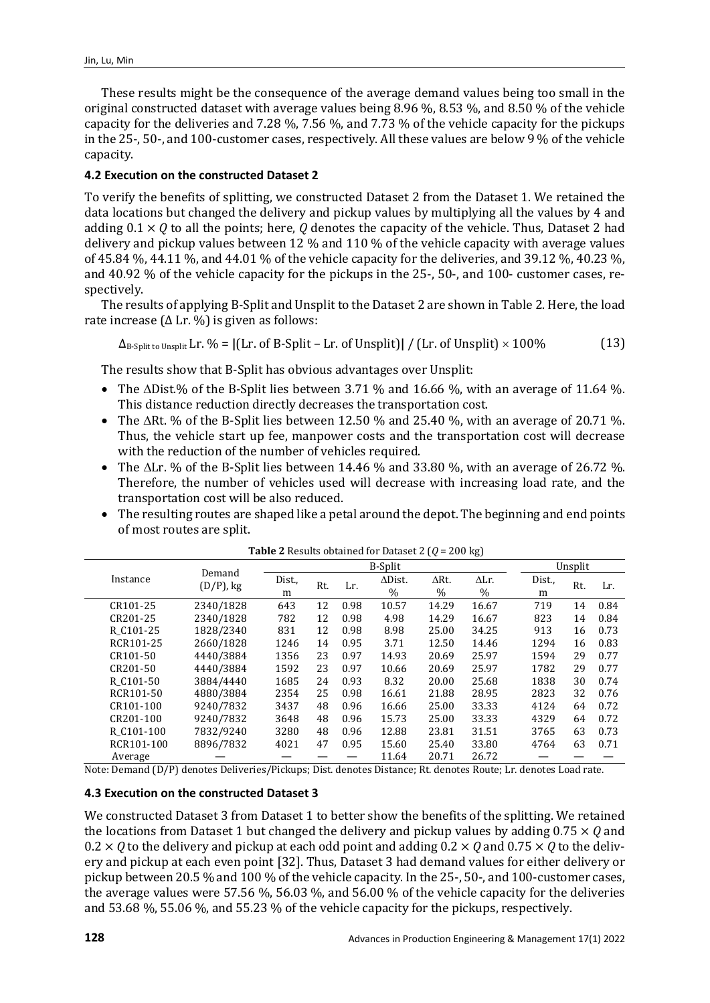These results might be the consequence of the average demand values being too small in the original constructed dataset with average values being 8.96 %, 8.53 %, and 8.50 % of the vehicle capacity for the deliveries and 7.28 %, 7.56 %, and 7.73 % of the vehicle capacity for the pickups in the 25-, 50-, and 100-customer cases, respectively. All these values are below 9 % of the vehicle capacity.

#### **4.2 Execution on the constructed Dataset 2**

To verify the benefits of splitting, we constructed Dataset 2 from the Dataset 1. We retained the data locations but changed the delivery and pickup values by multiplying all the values by 4 and adding 0.1 × *Q* to all the points; here, *Q* denotes the capacity of the vehicle. Thus, Dataset 2 had delivery and pickup values between 12 % and 110 % of the vehicle capacity with average values of 45.84 %, 44.11 %, and 44.01 % of the vehicle capacity for the deliveries, and 39.12 %, 40.23 %, and 40.92 % of the vehicle capacity for the pickups in the 25-, 50-, and 100- customer cases, respectively.

The results of applying B-Split and Unsplit to the Dataset 2 are shown in Table 2. Here, the load rate increase ( $\Delta$  Lr. %) is given as follows:

 $\Delta_{\text{B-Split to Unsplit}}$  Lr. % =  $\left|$  (Lr. of B-Split – Lr. of Unsplit) $\right| / \left| \text{Lr. of Unsplit} \right| \times 100\%$  (13)

The results show that B-Split has obvious advantages over Unsplit:

- The ∆Dist.% of the B-Split lies between 3.71 % and 16.66 %, with an average of 11.64 %. This distance reduction directly decreases the transportation cost.
- The ∆Rt. % of the B-Split lies between 12.50 % and 25.40 %, with an average of 20.71 %. Thus, the vehicle start up fee, manpower costs and the transportation cost will decrease with the reduction of the number of vehicles required.
- The ∆Lr. % of the B-Split lies between 14.46 % and 33.80 %, with an average of 26.72 %. Therefore, the number of vehicles used will decrease with increasing load rate, and the transportation cost will be also reduced.
- The resulting routes are shaped like a petal around the depot. The beginning and end points of most routes are split.

|            |              |                          |     |      | $500$ cannot not below by |                      | נ סיי                |             |     |      |
|------------|--------------|--------------------------|-----|------|---------------------------|----------------------|----------------------|-------------|-----|------|
|            |              | <b>B-Split</b><br>Demand |     |      |                           |                      |                      | Unsplit     |     |      |
| Instance   | $(D/P)$ , kg | Dist.,<br>m              | Rt. | Lr.  | $\Delta$ Dist.<br>$\%$    | $\Delta$ Rt.<br>$\%$ | $\Delta$ Lr.<br>$\%$ | Dist.,<br>m | Rt. | Lr.  |
| CR101-25   | 2340/1828    | 643                      | 12  | 0.98 | 10.57                     | 14.29                | 16.67                | 719         | 14  | 0.84 |
| CR201-25   | 2340/1828    | 782                      | 12  | 0.98 | 4.98                      | 14.29                | 16.67                | 823         | 14  | 0.84 |
| R C101-25  | 1828/2340    | 831                      | 12  | 0.98 | 8.98                      | 25.00                | 34.25                | 913         | 16  | 0.73 |
| RCR101-25  | 2660/1828    | 1246                     | 14  | 0.95 | 3.71                      | 12.50                | 14.46                | 1294        | 16  | 0.83 |
| CR101-50   | 4440/3884    | 1356                     | 23  | 0.97 | 14.93                     | 20.69                | 25.97                | 1594        | 29  | 0.77 |
| CR201-50   | 4440/3884    | 1592                     | 23  | 0.97 | 10.66                     | 20.69                | 25.97                | 1782        | 29  | 0.77 |
| R C101-50  | 3884/4440    | 1685                     | 24  | 0.93 | 8.32                      | 20.00                | 25.68                | 1838        | 30  | 0.74 |
| RCR101-50  | 4880/3884    | 2354                     | 25  | 0.98 | 16.61                     | 21.88                | 28.95                | 2823        | 32  | 0.76 |
| CR101-100  | 9240/7832    | 3437                     | 48  | 0.96 | 16.66                     | 25.00                | 33.33                | 4124        | 64  | 0.72 |
| CR201-100  | 9240/7832    | 3648                     | 48  | 0.96 | 15.73                     | 25.00                | 33.33                | 4329        | 64  | 0.72 |
| R C101-100 | 7832/9240    | 3280                     | 48  | 0.96 | 12.88                     | 23.81                | 31.51                | 3765        | 63  | 0.73 |
| RCR101-100 | 8896/7832    | 4021                     | 47  | 0.95 | 15.60                     | 25.40                | 33.80                | 4764        | 63  | 0.71 |
| Average    |              |                          |     |      | 11.64                     | 20.71                | 26.72                |             |     |      |

Note: Demand (D/P) denotes Deliveries/Pickups; Dist. denotes Distance; Rt. denotes Route; Lr. denotes Load rate.

#### **4.3 Execution on the constructed Dataset 3**

We constructed Dataset 3 from Dataset 1 to better show the benefits of the splitting. We retained the locations from Dataset 1 but changed the delivery and pickup values by adding 0.75 × *Q* and  $0.2 \times Q$  to the delivery and pickup at each odd point and adding  $0.2 \times Q$  and  $0.75 \times Q$  to the delivery and pickup at each even point [32]. Thus, Dataset 3 had demand values for either delivery or pickup between 20.5 % and 100 % of the vehicle capacity. In the 25-, 50-, and 100-customer cases, the average values were 57.56 %, 56.03 %, and 56.00 % of the vehicle capacity for the deliveries and 53.68 %, 55.06 %, and 55.23 % of the vehicle capacity for the pickups, respectively.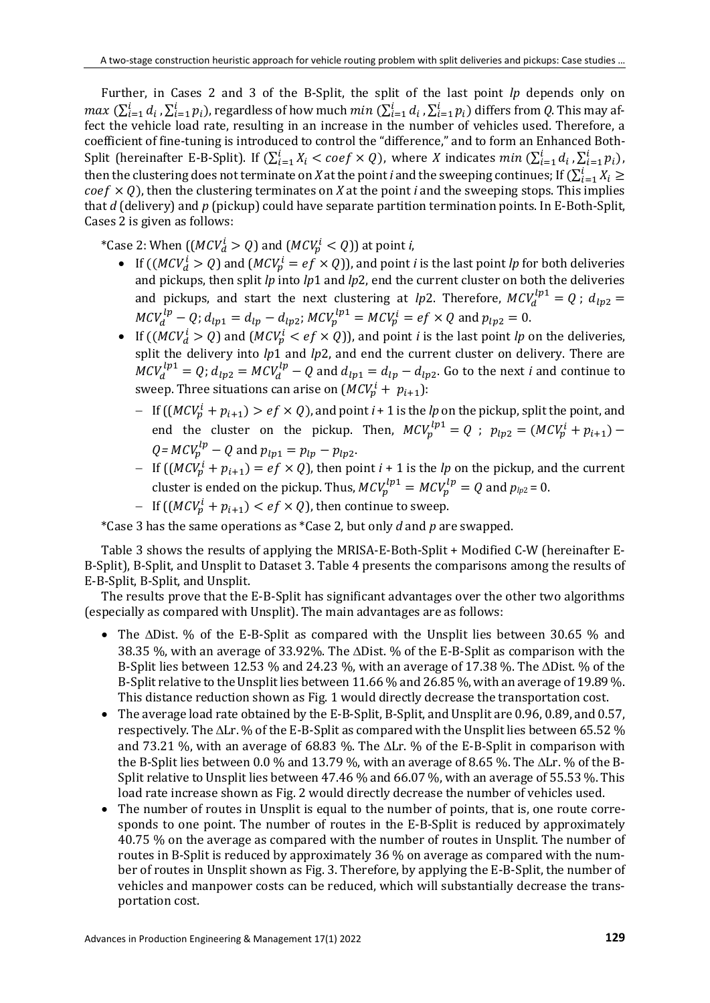Further, in Cases 2 and 3 of the B-Split, the split of the last point *lp* depends only on  $max(\sum_{i=1}^{l} d_i, \sum_{i=1}^{l} p_i)$ , regardless of how much  $min(\sum_{i=1}^{l} d_i, \sum_{i=1}^{l} p_i)$  differs from *Q*. This may affect the vehicle load rate, resulting in an increase in the number of vehicles used. Therefore, a coefficient of fine-tuning is introduced to control the "difference," and to form an Enhanced Both-Split (hereinafter E-B-Split). If  $(\sum_{i=1}^{l} X_i \le \text{coeff} \times Q)$ , where *X* indicates  $\min (\sum_{i=1}^{l} d_i, \sum_{i=1}^{l} p_i)$ , then the clustering does not terminate on *X* at the point *i* and the sweeping continues; If  $(\sum_{i=1}^{l} X_i \geq 1)$  $\cos f \times Q$ ), then the clustering terminates on *X* at the point *i* and the sweeping stops. This implies that *d* (delivery) and *p* (pickup) could have separate partition termination points. In E-Both-Split, Cases 2 is given as follows:

\*Case 2: When  $((MCV_d^l > Q)$  and  $(MCV_p^l < Q)$ ) at point *i*,

- If  $((MCV_d^i > Q)$  and  $(MCV_p^i = ef \times Q)$ , and point *i* is the last point *lp* for both deliveries and pickups, then split *lp* into *lp*1 and *lp*2, end the current cluster on both the deliveries and pickups, and start the next clustering at *lp*2. Therefore,  $MCV_d^{(p)} = Q$ ;  $d_{lp2} =$  $MCV_d^{ip} - Q$ ;  $d_{lp1} = d_{lp} - d_{lp2}$ ;  $MCV_p^{ip1} = MCV_p^i = ef \times Q$  and  $p_{lp2} = 0$ .
- If  $((MCV_d^i > Q)$  and  $(MCV_p^i < ef \times Q)$ , and point *i* is the last point *lp* on the deliveries, split the delivery into  $lp1$  and  $lp2$ , and end the current cluster on delivery. There are  $MCV_d^{lp1} = Q$ ;  $d_{lp2} = MCV_d^{lp} - Q$  and  $d_{lp1} = d_{lp} - d_{lp2}$ . Go to the next *i* and continue to sweep. Three situations can arise on  $(MCV_p^l + p_{l+1})$ :
	- − If  $((MCV_p^i + p_{i+1}) > ef \times Q)$ , and point *i* + 1 is the *lp* on the pickup, split the point, and end the cluster on the pickup. Then,  $MCV_p^{(p)} = Q$ ;  $p_{lp2} = (MCV_p^i + p_{i+1}) Q = MCV_p^{tp} - Q$  and  $p_{lp1} = p_{lp} - p_{lp2}$ .
	- $-$  If  $((MCV_p^i + p_{i+1}) = ef \times Q)$ , then point  $i + 1$  is the *lp* on the pickup, and the current cluster is ended on the pickup. Thus,  $MCV_p^{lp1} = MCV_p^{lp} = Q$  and  $p_{lp2} = 0$ .
	- $-$  If  $((MCV_p^i + p_{i+1}) < ef \times Q)$ , then continue to sweep.

\*Case 3 has the same operations as \*Case 2, but only *d* and *p* are swapped.

Table 3 shows the results of applying the MRISA-E-Both-Split + Modified C-W (hereinafter E-B-Split), B-Split, and Unsplit to Dataset 3. Table 4 presents the comparisons among the results of E-B-Split, B-Split, and Unsplit.

The results prove that the E-B-Split has significant advantages over the other two algorithms (especially as compared with Unsplit). The main advantages are as follows:

- The ∆Dist. % of the E-B-Split as compared with the Unsplit lies between 30.65 % and 38.35 %, with an average of 33.92%. The ∆Dist. % of the E-B-Split as comparison with the B-Split lies between 12.53 % and 24.23 %, with an average of 17.38 %. The ∆Dist. % of the B-Split relative to the Unsplit lies between 11.66 % and 26.85 %, with an average of 19.89 %. This distance reduction shown as Fig. 1 would directly decrease the transportation cost.
- The average load rate obtained by the E-B-Split, B-Split, and Unsplit are 0.96, 0.89, and 0.57, respectively. The ∆Lr. % of the E-B-Split as compared with the Unsplit lies between 65.52 % and 73.21 %, with an average of 68.83 %. The ∆Lr. % of the E-B-Split in comparison with the B-Split lies between 0.0 % and 13.79 %, with an average of 8.65 %. The ∆Lr. % of the B-Split relative to Unsplit lies between 47.46 % and 66.07 %, with an average of 55.53 %. This load rate increase shown as Fig. 2 would directly decrease the number of vehicles used.
- The number of routes in Unsplit is equal to the number of points, that is, one route corresponds to one point. The number of routes in the E-B-Split is reduced by approximately 40.75 % on the average as compared with the number of routes in Unsplit. The number of routes in B-Split is reduced by approximately 36 % on average as compared with the number of routes in Unsplit shown as Fig. 3. Therefore, by applying the E-B-Split, the number of vehicles and manpower costs can be reduced, which will substantially decrease the transportation cost.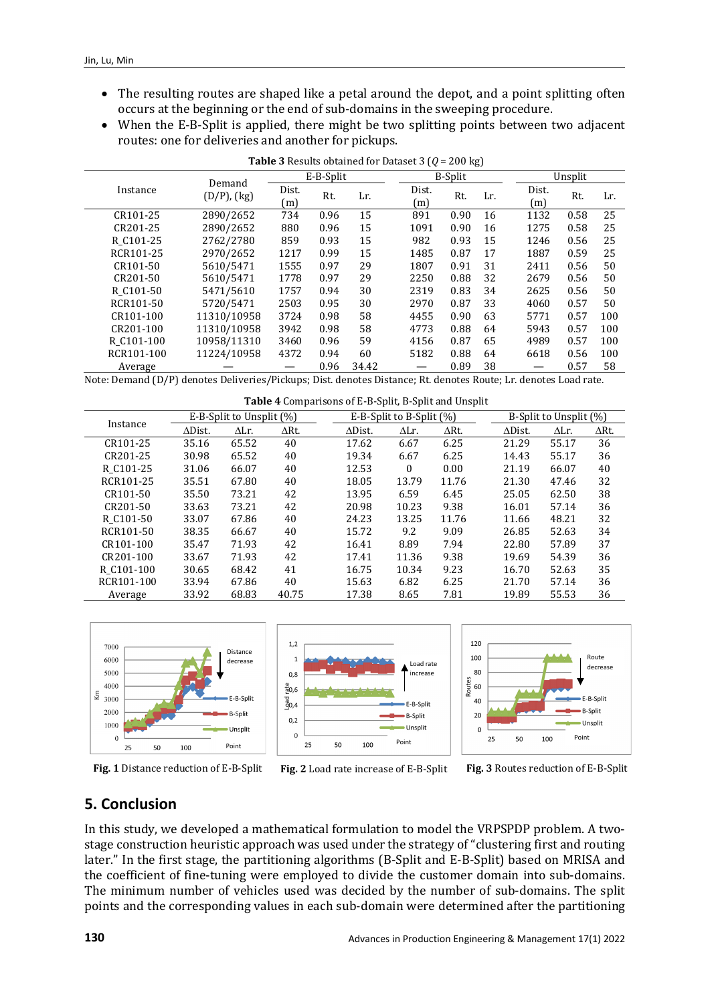- The resulting routes are shaped like a petal around the depot, and a point splitting often occurs at the beginning or the end of sub-domains in the sweeping procedure.
- When the E-B-Split is applied, there might be two splitting points between two adjacent routes: one for deliveries and another for pickups.

|                        | Demand           |              | E-B-Split |       |              | <b>B-Split</b> |     |              | Unsplit |     |
|------------------------|------------------|--------------|-----------|-------|--------------|----------------|-----|--------------|---------|-----|
| Instance               | $(D/P)$ , $(kg)$ | Dist.<br>(m) | Rt.       | Lr.   | Dist.<br>(m) | Rt.            | Lr. | Dist.<br>(m) | Rt.     | Lr. |
| CR101-25               | 2890/2652        | 734          | 0.96      | 15    | 891          | 0.90           | 16  | 1132         | 0.58    | 25  |
| CR201-25               | 2890/2652        | 880          | 0.96      | 15    | 1091         | 0.90           | 16  | 1275         | 0.58    | 25  |
| R C101-25              | 2762/2780        | 859          | 0.93      | 15    | 982          | 0.93           | 15  | 1246         | 0.56    | 25  |
| RCR101-25              | 2970/2652        | 1217         | 0.99      | 15    | 1485         | 0.87           | 17  | 1887         | 0.59    | 25  |
| CR101-50               | 5610/5471        | 1555         | 0.97      | 29    | 1807         | 0.91           | 31  | 2411         | 0.56    | 50  |
| CR201-50               | 5610/5471        | 1778         | 0.97      | 29    | 2250         | 0.88           | 32  | 2679         | 0.56    | 50  |
| R C <sub>101</sub> -50 | 5471/5610        | 1757         | 0.94      | 30    | 2319         | 0.83           | 34  | 2625         | 0.56    | 50  |
| RCR101-50              | 5720/5471        | 2503         | 0.95      | 30    | 2970         | 0.87           | 33  | 4060         | 0.57    | 50  |
| CR101-100              | 11310/10958      | 3724         | 0.98      | 58    | 4455         | 0.90           | 63  | 5771         | 0.57    | 100 |
| CR201-100              | 11310/10958      | 3942         | 0.98      | 58    | 4773         | 0.88           | 64  | 5943         | 0.57    | 100 |
| R C101-100             | 10958/11310      | 3460         | 0.96      | 59    | 4156         | 0.87           | 65  | 4989         | 0.57    | 100 |
| RCR101-100             | 11224/10958      | 4372         | 0.94      | 60    | 5182         | 0.88           | 64  | 6618         | 0.56    | 100 |
| Average                |                  |              | 0.96      | 34.42 |              | 0.89           | 38  |              | 0.57    | 58  |

**Table 3** Results obtained for Dataset 3 (*Q* = 200 kg)

Note: Demand (D/P) denotes Deliveries/Pickups; Dist. denotes Distance; Rt. denotes Route; Lr. denotes Load rate.

| Table 4 Comparisons of E-B-Split, B-Split and Unsplit |                          |              |              |                |                             |              |                |                        |              |  |
|-------------------------------------------------------|--------------------------|--------------|--------------|----------------|-----------------------------|--------------|----------------|------------------------|--------------|--|
|                                                       | E-B-Split to Unsplit (%) |              |              |                | E-B-Split to B-Split $(\%)$ |              |                | B-Split to Unsplit (%) |              |  |
| Instance                                              | $\Delta$ Dist.           | $\Delta$ Lr. | $\Delta$ Rt. | $\Delta$ Dist. | $\Delta$ Lr.                | $\Delta$ Rt. | $\Delta$ Dist. | ΔLr.                   | $\Delta$ Rt. |  |
| CR101-25                                              | 35.16                    | 65.52        | 40           | 17.62          | 6.67                        | 6.25         | 21.29          | 55.17                  | 36           |  |
| CR201-25                                              | 30.98                    | 65.52        | 40           | 19.34          | 6.67                        | 6.25         | 14.43          | 55.17                  | 36           |  |
| R C101-25                                             | 31.06                    | 66.07        | 40           | 12.53          | $\Omega$                    | 0.00         | 21.19          | 66.07                  | 40           |  |
| RCR101-25                                             | 35.51                    | 67.80        | 40           | 18.05          | 13.79                       | 11.76        | 21.30          | 47.46                  | 32           |  |
| CR101-50                                              | 35.50                    | 73.21        | 42           | 13.95          | 6.59                        | 6.45         | 25.05          | 62.50                  | 38           |  |
| CR201-50                                              | 33.63                    | 73.21        | 42           | 20.98          | 10.23                       | 9.38         | 16.01          | 57.14                  | 36           |  |
| R C <sub>101</sub> -50                                | 33.07                    | 67.86        | 40           | 24.23          | 13.25                       | 11.76        | 11.66          | 48.21                  | 32           |  |
| RCR101-50                                             | 38.35                    | 66.67        | 40           | 15.72          | 9.2                         | 9.09         | 26.85          | 52.63                  | 34           |  |
| CR101-100                                             | 35.47                    | 71.93        | 42           | 16.41          | 8.89                        | 7.94         | 22.80          | 57.89                  | 37           |  |
| CR201-100                                             | 33.67                    | 71.93        | 42           | 17.41          | 11.36                       | 9.38         | 19.69          | 54.39                  | 36           |  |
| R C <sub>101</sub> -100                               | 30.65                    | 68.42        | 41           | 16.75          | 10.34                       | 9.23         | 16.70          | 52.63                  | 35           |  |
| RCR101-100                                            | 33.94                    | 67.86        | 40           | 15.63          | 6.82                        | 6.25         | 21.70          | 57.14                  | 36           |  |
| Average                                               | 33.92                    | 68.83        | 40.75        | 17.38          | 8.65                        | 7.81         | 19.89          | 55.53                  | 36           |  |









**Fig. 3** Routes reduction of E-B-Split

# **5. Conclusion**

In this study, we developed a mathematical formulation to model the VRPSPDP problem. A twostage construction heuristic approach was used under the strategy of "clustering first and routing later." In the first stage, the partitioning algorithms (B-Split and E-B-Split) based on MRISA and the coefficient of fine-tuning were employed to divide the customer domain into sub-domains. The minimum number of vehicles used was decided by the number of sub-domains. The split points and the corresponding values in each sub-domain were determined after the partitioning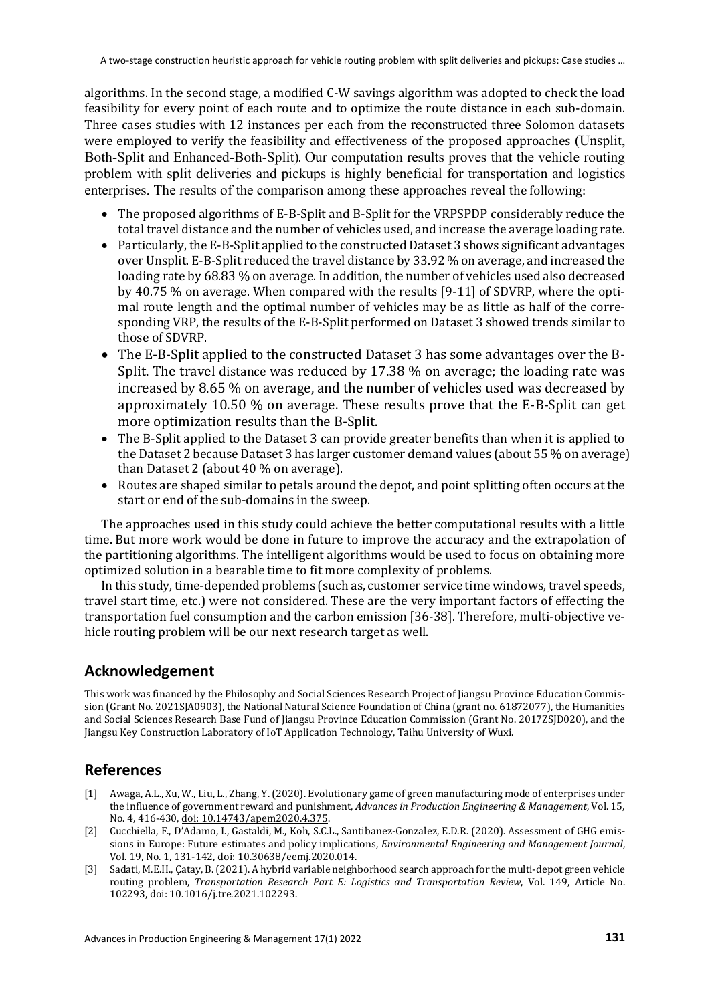algorithms. In the second stage, a modified C-W savings algorithm was adopted to check the load feasibility for every point of each route and to optimize the route distance in each sub-domain. Three cases studies with 12 instances per each from the reconstructed three Solomon datasets were employed to verify the feasibility and effectiveness of the proposed approaches (Unsplit, Both-Split and Enhanced-Both-Split). Our computation results proves that the vehicle routing problem with split deliveries and pickups is highly beneficial for transportation and logistics enterprises. The results of the comparison among these approaches reveal the following:

- The proposed algorithms of E-B-Split and B-Split for the VRPSPDP considerably reduce the total travel distance and the number of vehicles used, and increase the average loading rate.
- Particularly, the E-B-Split applied to the constructed Dataset 3 shows significant advantages over Unsplit. E-B-Split reduced the travel distance by 33.92 % on average, and increased the loading rate by 68.83 % on average. In addition, the number of vehicles used also decreased by 40.75 % on average. When compared with the results [9-11] of SDVRP, where the optimal route length and the optimal number of vehicles may be as little as half of the corresponding VRP, the results of the E-B-Split performed on Dataset 3 showed trends similar to those of SDVRP.
- The E-B-Split applied to the constructed Dataset 3 has some advantages over the B-Split. The travel distance was reduced by 17.38 % on average; the loading rate was increased by 8.65 % on average, and the number of vehicles used was decreased by approximately 10.50 % on average. These results prove that the E-B-Split can get more optimization results than the B-Split.
- The B-Split applied to the Dataset 3 can provide greater benefits than when it is applied to the Dataset 2 because Dataset 3 has larger customer demand values (about 55 % on average) than Dataset 2 (about 40 % on average).
- Routes are shaped similar to petals around the depot, and point splitting often occurs at the start or end of the sub-domains in the sweep.

The approaches used in this study could achieve the better computational results with a little time. But more work would be done in future to improve the accuracy and the extrapolation of the partitioning algorithms. The intelligent algorithms would be used to focus on obtaining more optimized solution in a bearable time to fit more complexity of problems.

In this study, time-depended problems (such as, customer service time windows, travel speeds, travel start time, etc.) were not considered. These are the very important factors of effecting the transportation fuel consumption and the carbon emission [36-38]. Therefore, multi-objective vehicle routing problem will be our next research target as well.

# **Acknowledgement**

This work was financed by the Philosophy and Social Sciences Research Project of Jiangsu Province Education Commission (Grant No. 2021SJA0903), the National Natural Science Foundation of China (grant no. 61872077), the Humanities and Social Sciences Research Base Fund of Jiangsu Province Education Commission (Grant No. 2017ZSJD020), and the Jiangsu Key Construction Laboratory of IoT Application Technology, Taihu University of Wuxi.

# **References**

- [1] Awaga, A.L., Xu, W., Liu, L., Zhang, Y. (2020). Evolutionary game of green manufacturing mode of enterprises under the influence of government reward and punishment, *Advances in Production Engineering & Management*, Vol. 15, No. 4, 416-430[, doi: 10.14743/apem2020.4.375.](https://doi.org/10.14743/apem2020.4.375)
- [2] Cucchiella, F., D'Adamo, I., Gastaldi, M., Koh, S.C.L., Santibanez-Gonzalez, E.D.R. (2020). Assessment of GHG emissions in Europe: Future estimates and policy implications, *Environmental Engineering and Management Journal*, Vol. 19, No. 1, 131-142[, doi: 10.30638/eemj.2020.014.](https://doi.org/10.30638/eemj.2020.014)
- [3] Sadati, M.E.H., Çatay, B. (2021). A hybrid variable neighborhood search approach for the multi-depot green vehicle routing problem, *Transportation Research Part E: Logistics and Transportation Review*, Vol. 149, Article No. 102293[, doi: 10.1016/j.tre.2021.102293.](https://doi.org/10.1016/j.tre.2021.102293)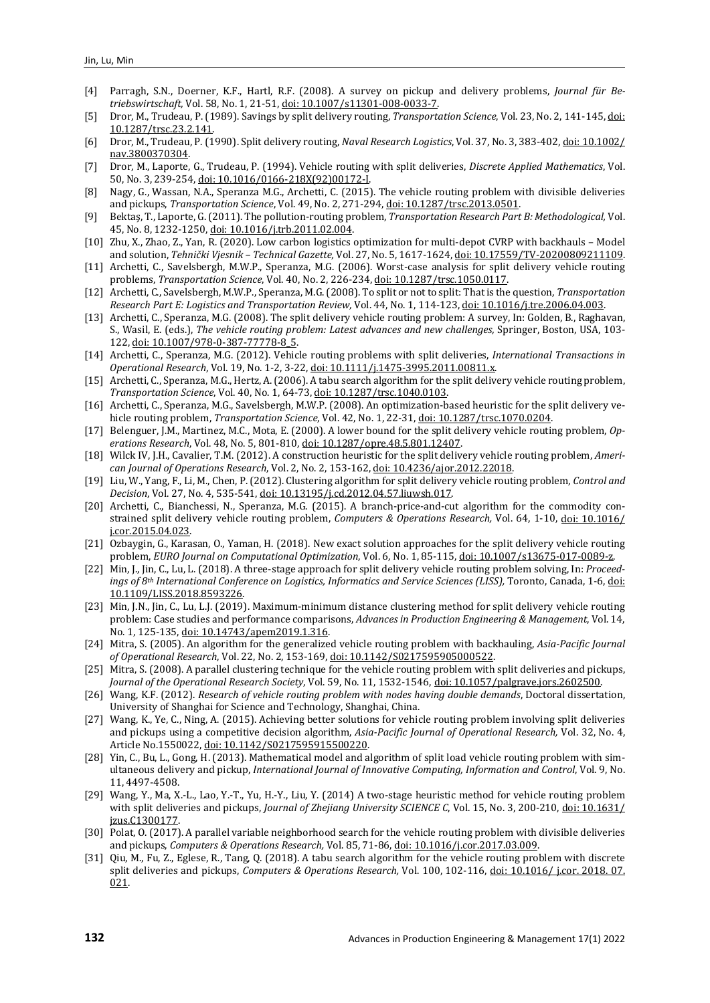- [4] Parragh, S.N., Doerner, K.F., Hartl, R.F. (2008). A survey on pickup and delivery problems, *Journal für Betriebswirtschaft,* Vol. 58, No. 1, 21-51[, doi: 10.1007/s11301-008-0033-7.](http://doi.org/10.1007/s11301-008-0033-7)
- [5] Dror, M., Trudeau, P. (1989). Savings by split delivery routing, *Transportation Science*, Vol. 23, No. 2, 141-145[, doi:](http://doi.org/10.1287/trsc.23.2.141)  [10.1287/trsc.23.2.141.](http://doi.org/10.1287/trsc.23.2.141)
- [6] Dror, M., Trudeau, P. (1990). Split delivery routing, *Naval Research Logistics*, Vol. 37, No. 3, 383-402[, doi: 10.1002/](https://doi.org/10.1002/nav.3800370304) [nav.3800370304.](https://doi.org/10.1002/nav.3800370304)
- [7] Dror, M., Laporte, G., Trudeau, P. (1994). Vehicle routing with split deliveries, *Discrete Applied Mathematics*, Vol. 50, No. 3, 239-254[, doi: 10.1016/0166-218X\(92\)00172-I.](http://doi.org/10.1016/0166-218X(92)00172-I)
- [8] Nagy, G., Wassan, N.A., Speranza M.G., Archetti, C. (2015). The vehicle routing problem with divisible deliveries and pickups, *Transportation Science*, Vol. 49, No. 2, 271-294[, doi: 10.1287/trsc.2013.0501.](http://doi.org/10.1287/trsc.2013.0501)
- [9] Bektaş, T., Laporte, G. (2011). The pollution-routing problem, *Transportation Research Part B: Methodological,* Vol. 45, No. 8, 1232-1250[, doi: 10.1016/j.trb.2011.02.004.](https://doi.org/10.1016/j.trb.2011.02.004)
- [10] Zhu, X., Zhao, Z., Yan, R. (2020). Low carbon logistics optimization for multi-depot CVRP with backhauls Model and solution, *Tehnički Vjesnik – Technical Gazette,* Vol. 27, No. 5, 1617-1624[, doi: 10.17559/TV-20200809211109.](https://doi.org/10.17559/TV-20200809211109)
- [11] Archetti, C., Savelsbergh, M.W.P., Speranza, M.G. (2006). Worst-case analysis for split delivery vehicle routing problems, *Transportation Science*, Vol. 40, No. 2, 226-234, [doi: 10.1287/trsc.1050.0117.](https://doi.org/10.1287/trsc.1050.0117)
- [12] Archetti, C., Savelsbergh, M.W.P., Speranza, M.G. (2008). To split or not to split: That is the question, *Transportation Research Part E: Logistics and Transportation Review,* Vol. 44, No. 1, 114-123[, doi: 10.1016/j.tre.2006.04.003.](https://doi.org/10.1016/j.tre.2006.04.003)
- [13] Archetti, C., Speranza, M.G. (2008). The split delivery vehicle routing problem: A survey, In: Golden, B., Raghavan, S., Wasil, E. (eds.), *The vehicle routing problem: Latest advances and new challenges,* Springer, Boston, USA, 103- 122, doi: [10.1007/978-0-387-77778-8\\_5.](http://doi.org/10.1007/978-0-387-77778-8_5)
- [14] Archetti, C., Speranza, M.G. (2012). Vehicle routing problems with split deliveries, *International Transactions in Operational Research*, Vol. 19, No. 1-2, 3-22[, doi: 10.1111/j.1475-3995.2011.00811.x.](https://doi.org/10.1111/j.1475-3995.2011.00811.x)
- [15] Archetti, C., Speranza, M.G., Hertz, A. (2006). A tabu search algorithm for the split delivery vehicle routing problem, *Transportation Science*, Vol. 40, No. 1, 64-73[, doi: 10.1287/trsc.1040.0103.](http://doi.org/10.1287/trsc.1040.0103)
- [16] Archetti, C., Speranza, M.G., Savelsbergh, M.W.P. (2008). An optimization-based heuristic for the split delivery vehicle routing problem, *Transportation Science*, Vol. 42, No. 1, 22-31[, doi: 10.1287/trsc.1070.0204.](http://doi.org/10.1287/trsc.1070.0204)
- [17] Belenguer, J.M., Martinez, M.C., Mota, E. (2000). A lower bound for the split delivery vehicle routing problem, *Operations Research*, Vol. 48, No. 5, 801-810[, doi: 10.1287/opre.48.5.801.12407.](http://doi.org/10.1287/opre.48.5.801.12407)
- [18] Wilck IV, J.H., Cavalier, T.M. (2012). A construction heuristic for the split delivery vehicle routing problem, *American Journal of Operations Research*, Vol. 2, No. 2, 153-162[, doi: 10.4236/ajor.2012.22018.](https://doi.org/10.4236/ajor.2012.22018)
- [19] Liu, W., Yang, F., Li, M., Chen, P. (2012). Clustering algorithm for split delivery vehicle routing problem, *Control and Decision*, Vol. 27, No. 4, 535-541[, doi: 10.13195/j.cd.2012.04.57.liuwsh.017.](https://doi.org/10.13195/j.cd.2012.04.57.liuwsh.017)
- [20] Archetti, C., Bianchessi, N., Speranza, M.G. (2015). A branch-price-and-cut algorithm for the commodity constrained split delivery vehicle routing problem, *Computers & Operations Research,* Vol. 64, 1-10, [doi: 10.1016/](https://doi.org/10.1016/j.cor.2015.04.023)  [j.cor.2015.04.023.](https://doi.org/10.1016/j.cor.2015.04.023)
- [21] Ozbaygin, G., Karasan, O., Yaman, H. (2018). New exact solution approaches for the split delivery vehicle routing problem, *EURO Journal on Computational Optimization*, Vol. 6, No. 1, 85-115[, doi: 10.1007/s13675-017-0089-z.](https://doi.org/10.1007/s13675-017-0089-z)
- [22] Min, J., Jin, C., Lu, L. (2018). A three-stage approach for split delivery vehicle routing problem solving, In: *Proceedings of 8th International Conference on Logistics, Informatics and Service Sciences (LISS),* Toronto, Canada, 1-6, [doi:](http://doi.org/10.1109/LISS.2018.8593226)  [10.1109/LISS.2018.8593226.](http://doi.org/10.1109/LISS.2018.8593226)
- [23] Min, J.N., Jin, C., Lu, L.J. (2019). Maximum-minimum distance clustering method for split delivery vehicle routing problem: Case studies and performance comparisons, *Advances in Production Engineering & Management*, Vol. 14, No. 1, 125-135[, doi: 10.14743/apem2019.1.316.](https://doi.org/10.14743/apem2019.1.316)
- [24] Mitra, S. (2005). An algorithm for the generalized vehicle routing problem with backhauling, *Asia-Pacific Journal of Operational Research*, Vol. 22, No. 2, 153-169[, doi: 10.1142/S0217595905000522.](https://doi.org/10.1142/S0217595905000522)
- [25] Mitra, S. (2008). A parallel clustering technique for the vehicle routing problem with split deliveries and pickups, *Journal of the Operational Research Society*, Vol. 59, No. 11, 1532-1546, [doi: 10.1057/palgrave.jors.2602500.](http://doi.org/10.1057/palgrave.jors.2602500)
- [26] Wang, K.F. (2012). *Research of vehicle routing problem with nodes having double demands*, Doctoral dissertation, University of Shanghai for Science and Technology, Shanghai, China.
- [27] Wang, K., Ye, C., Ning, A. (2015). Achieving better solutions for vehicle routing problem involving split deliveries and pickups using a competitive decision algorithm, *Asia-Pacific Journal of Operational Research,* Vol. 32, No. 4, Article No.1550022[, doi: 10.1142/S0217595915500220.](http://doi.org/10.1142/S0217595915500220)
- [28] Yin, C., Bu, L., Gong, H. (2013). Mathematical model and algorithm of split load vehicle routing problem with simultaneous delivery and pickup, *International Journal of Innovative Computing, Information and Control*, Vol. 9, No. 11, 4497-4508.
- [29] Wang, Y., Ma, X.-L., Lao, Y.-T., Yu, H.-Y., Liu, Y. (2014) A two-stage heuristic method for vehicle routing problem with split deliveries and pickups, *Journal of Zhejiang University SCIENCE C*, Vol. 15, No. 3, 200-210[, doi: 10.1631/](http://doi.org/10.1631/jzus.C1300177) [jzus.C1300177.](http://doi.org/10.1631/jzus.C1300177)
- [30] Polat, O. (2017). A parallel variable neighborhood search for the vehicle routing problem with divisible deliveries and pickups, *Computers & Operations Research,* Vol. 85, 71-86, [doi: 10.1016/j.cor.2017.03.009.](http://doi.org/10.1016/j.cor.2017.03.009)
- [31] Qiu, M., Fu, Z., Eglese, R., Tang, Q. (2018). A tabu search algorithm for the vehicle routing problem with discrete split deliveries and pickups, *Computers & Operations Research,* Vol. 100, 102-116, [doi: 10.1016/ j.cor. 2018. 07.](http://doi.org/10.1016/j.cor.2018.07.021)  [021.](http://doi.org/10.1016/j.cor.2018.07.021)